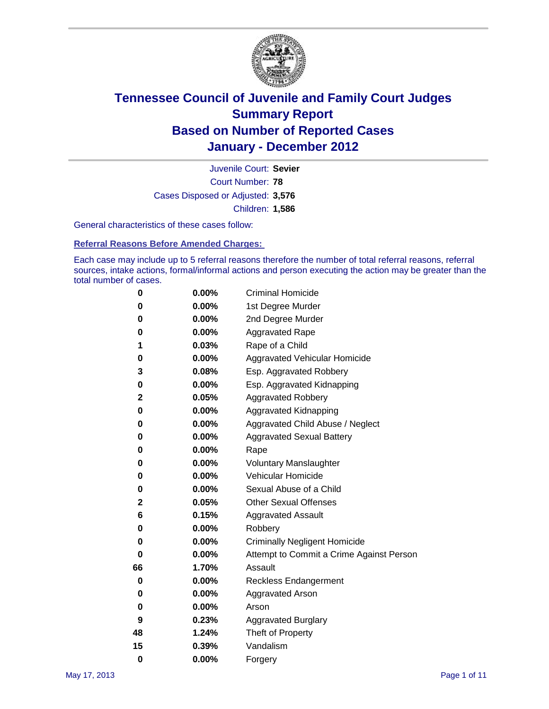

Court Number: **78** Juvenile Court: **Sevier** Cases Disposed or Adjusted: **3,576** Children: **1,586**

General characteristics of these cases follow:

**Referral Reasons Before Amended Charges:** 

Each case may include up to 5 referral reasons therefore the number of total referral reasons, referral sources, intake actions, formal/informal actions and person executing the action may be greater than the total number of cases.

| 0  | 0.00%    | <b>Criminal Homicide</b>                 |
|----|----------|------------------------------------------|
| 0  | 0.00%    | 1st Degree Murder                        |
| 0  | 0.00%    | 2nd Degree Murder                        |
| 0  | 0.00%    | <b>Aggravated Rape</b>                   |
| 1  | 0.03%    | Rape of a Child                          |
| 0  | 0.00%    | Aggravated Vehicular Homicide            |
| 3  | 0.08%    | Esp. Aggravated Robbery                  |
| 0  | 0.00%    | Esp. Aggravated Kidnapping               |
| 2  | 0.05%    | <b>Aggravated Robbery</b>                |
| 0  | 0.00%    | Aggravated Kidnapping                    |
| 0  | 0.00%    | Aggravated Child Abuse / Neglect         |
| 0  | $0.00\%$ | <b>Aggravated Sexual Battery</b>         |
| 0  | 0.00%    | Rape                                     |
| 0  | 0.00%    | <b>Voluntary Manslaughter</b>            |
| 0  | 0.00%    | Vehicular Homicide                       |
| 0  | 0.00%    | Sexual Abuse of a Child                  |
| 2  | 0.05%    | <b>Other Sexual Offenses</b>             |
| 6  | 0.15%    | <b>Aggravated Assault</b>                |
| 0  | $0.00\%$ | Robbery                                  |
| 0  | 0.00%    | <b>Criminally Negligent Homicide</b>     |
| 0  | 0.00%    | Attempt to Commit a Crime Against Person |
| 66 | 1.70%    | Assault                                  |
| 0  | 0.00%    | <b>Reckless Endangerment</b>             |
| 0  | 0.00%    | <b>Aggravated Arson</b>                  |
| 0  | 0.00%    | Arson                                    |
| 9  | 0.23%    | <b>Aggravated Burglary</b>               |
| 48 | 1.24%    | Theft of Property                        |
| 15 | 0.39%    | Vandalism                                |
| 0  | 0.00%    | Forgery                                  |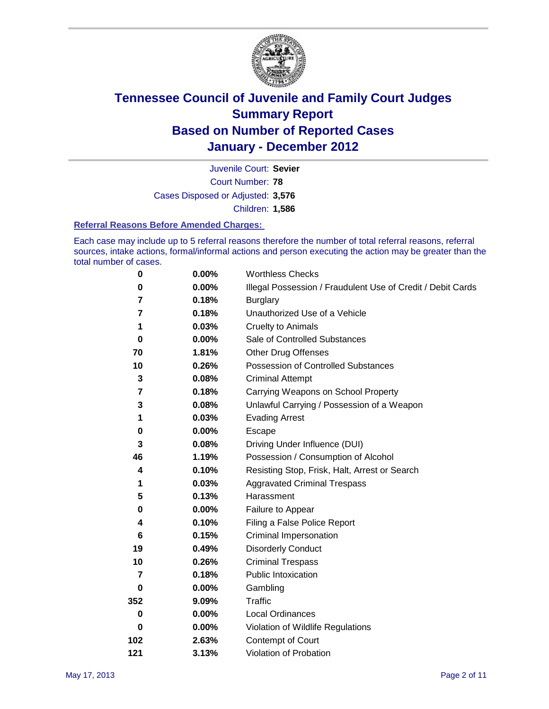

Court Number: **78** Juvenile Court: **Sevier** Cases Disposed or Adjusted: **3,576** Children: **1,586**

#### **Referral Reasons Before Amended Charges:**

Each case may include up to 5 referral reasons therefore the number of total referral reasons, referral sources, intake actions, formal/informal actions and person executing the action may be greater than the total number of cases.

| $\pmb{0}$      | 0.00%    | <b>Worthless Checks</b>                                     |
|----------------|----------|-------------------------------------------------------------|
| 0              | 0.00%    | Illegal Possession / Fraudulent Use of Credit / Debit Cards |
| 7              | 0.18%    | <b>Burglary</b>                                             |
| $\overline{7}$ | 0.18%    | Unauthorized Use of a Vehicle                               |
| 1              | 0.03%    | <b>Cruelty to Animals</b>                                   |
| $\bf{0}$       | $0.00\%$ | Sale of Controlled Substances                               |
| 70             | 1.81%    | <b>Other Drug Offenses</b>                                  |
| 10             | 0.26%    | Possession of Controlled Substances                         |
| 3              | 0.08%    | <b>Criminal Attempt</b>                                     |
| 7              | 0.18%    | Carrying Weapons on School Property                         |
| 3              | 0.08%    | Unlawful Carrying / Possession of a Weapon                  |
| 1              | 0.03%    | <b>Evading Arrest</b>                                       |
| 0              | 0.00%    | Escape                                                      |
| 3              | 0.08%    | Driving Under Influence (DUI)                               |
| 46             | 1.19%    | Possession / Consumption of Alcohol                         |
| 4              | 0.10%    | Resisting Stop, Frisk, Halt, Arrest or Search               |
| 1              | 0.03%    | <b>Aggravated Criminal Trespass</b>                         |
| 5              | 0.13%    | Harassment                                                  |
| 0              | 0.00%    | Failure to Appear                                           |
| 4              | 0.10%    | Filing a False Police Report                                |
| 6              | 0.15%    | Criminal Impersonation                                      |
| 19             | 0.49%    | <b>Disorderly Conduct</b>                                   |
| 10             | 0.26%    | <b>Criminal Trespass</b>                                    |
| $\overline{7}$ | 0.18%    | Public Intoxication                                         |
| 0              | $0.00\%$ | Gambling                                                    |
| 352            | 9.09%    | <b>Traffic</b>                                              |
| 0              | $0.00\%$ | Local Ordinances                                            |
| $\mathbf 0$    | 0.00%    | Violation of Wildlife Regulations                           |
| 102            | 2.63%    | Contempt of Court                                           |
| 121            | 3.13%    | Violation of Probation                                      |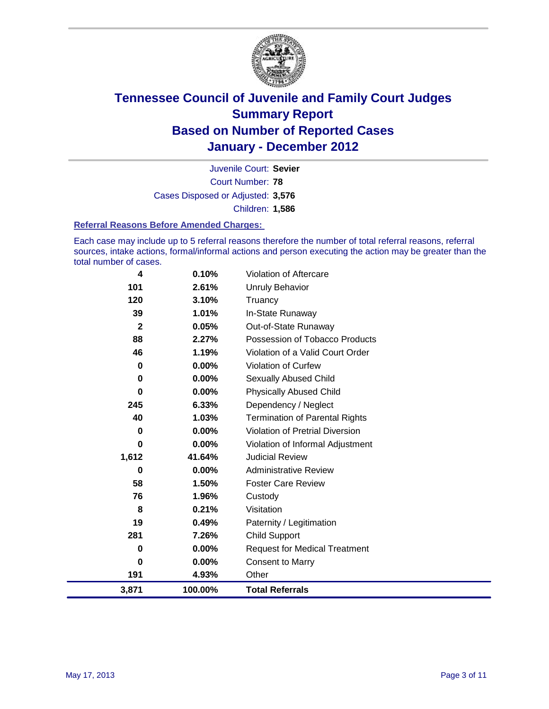

Court Number: **78** Juvenile Court: **Sevier** Cases Disposed or Adjusted: **3,576** Children: **1,586**

#### **Referral Reasons Before Amended Charges:**

Each case may include up to 5 referral reasons therefore the number of total referral reasons, referral sources, intake actions, formal/informal actions and person executing the action may be greater than the total number of cases.

| 4            | 0.10%    | Violation of Aftercare                 |
|--------------|----------|----------------------------------------|
| 101          | 2.61%    | Unruly Behavior                        |
| 120          | 3.10%    | Truancy                                |
| 39           | 1.01%    | In-State Runaway                       |
| $\mathbf{2}$ | 0.05%    | Out-of-State Runaway                   |
| 88           | 2.27%    | Possession of Tobacco Products         |
| 46           | 1.19%    | Violation of a Valid Court Order       |
| 0            | 0.00%    | Violation of Curfew                    |
| 0            | $0.00\%$ | Sexually Abused Child                  |
| $\bf{0}$     | 0.00%    | <b>Physically Abused Child</b>         |
| 245          | 6.33%    | Dependency / Neglect                   |
| 40           | 1.03%    | <b>Termination of Parental Rights</b>  |
| 0            | 0.00%    | <b>Violation of Pretrial Diversion</b> |
| 0            | 0.00%    | Violation of Informal Adjustment       |
| 1,612        | 41.64%   | <b>Judicial Review</b>                 |
| 0            | $0.00\%$ | <b>Administrative Review</b>           |
| 58           | 1.50%    | <b>Foster Care Review</b>              |
| 76           | 1.96%    | Custody                                |
| 8            | 0.21%    | Visitation                             |
| 19           | 0.49%    | Paternity / Legitimation               |
| 281          | 7.26%    | <b>Child Support</b>                   |
| 0            | 0.00%    | <b>Request for Medical Treatment</b>   |
| 0            | 0.00%    | <b>Consent to Marry</b>                |
| 191          | 4.93%    | Other                                  |
| 3,871        | 100.00%  | <b>Total Referrals</b>                 |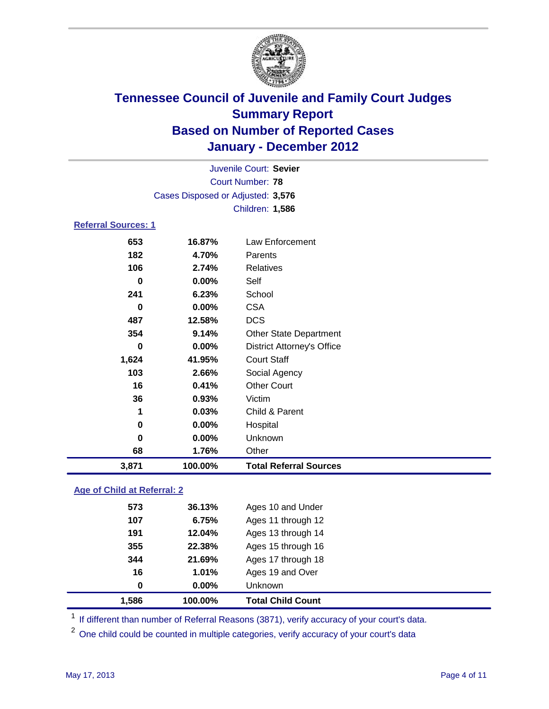

| Juvenile Court: Sevier      |                                   |                                   |  |  |  |
|-----------------------------|-----------------------------------|-----------------------------------|--|--|--|
| <b>Court Number: 78</b>     |                                   |                                   |  |  |  |
|                             | Cases Disposed or Adjusted: 3,576 |                                   |  |  |  |
|                             |                                   | <b>Children: 1,586</b>            |  |  |  |
| <b>Referral Sources: 1</b>  |                                   |                                   |  |  |  |
| 653                         | 16.87%                            | Law Enforcement                   |  |  |  |
| 182                         | 4.70%                             | Parents                           |  |  |  |
| 106                         | 2.74%                             | <b>Relatives</b>                  |  |  |  |
| $\bf{0}$                    | 0.00%                             | Self                              |  |  |  |
| 241                         | 6.23%                             | School                            |  |  |  |
| $\bf{0}$                    | 0.00%                             | <b>CSA</b>                        |  |  |  |
| 487                         | 12.58%                            | <b>DCS</b>                        |  |  |  |
| 354                         | 9.14%                             | <b>Other State Department</b>     |  |  |  |
| $\bf{0}$                    | 0.00%                             | <b>District Attorney's Office</b> |  |  |  |
| 1,624                       | 41.95%                            | <b>Court Staff</b>                |  |  |  |
| 103                         | 2.66%                             | Social Agency                     |  |  |  |
| 16                          | 0.41%                             | <b>Other Court</b>                |  |  |  |
| 36                          | 0.93%                             | Victim                            |  |  |  |
| 1                           | 0.03%                             | Child & Parent                    |  |  |  |
| $\pmb{0}$                   | 0.00%                             | Hospital                          |  |  |  |
| 0                           | 0.00%                             | Unknown                           |  |  |  |
| 68                          | 1.76%                             | Other                             |  |  |  |
| 3,871                       | 100.00%                           | <b>Total Referral Sources</b>     |  |  |  |
| Age of Child at Referral: 2 |                                   |                                   |  |  |  |
| 573                         | 36.13%                            | Ages 10 and Under                 |  |  |  |
| 107                         | 6.75%                             | Ages 11 through 12                |  |  |  |
| 191                         | 12.04%                            | Ages 13 through 14                |  |  |  |

| <b>Total Child Count</b> |
|--------------------------|
|                          |
| Ages 19 and Over         |
| Ages 17 through 18       |
| Ages 15 through 16       |
|                          |

<sup>1</sup> If different than number of Referral Reasons (3871), verify accuracy of your court's data.

<sup>2</sup> One child could be counted in multiple categories, verify accuracy of your court's data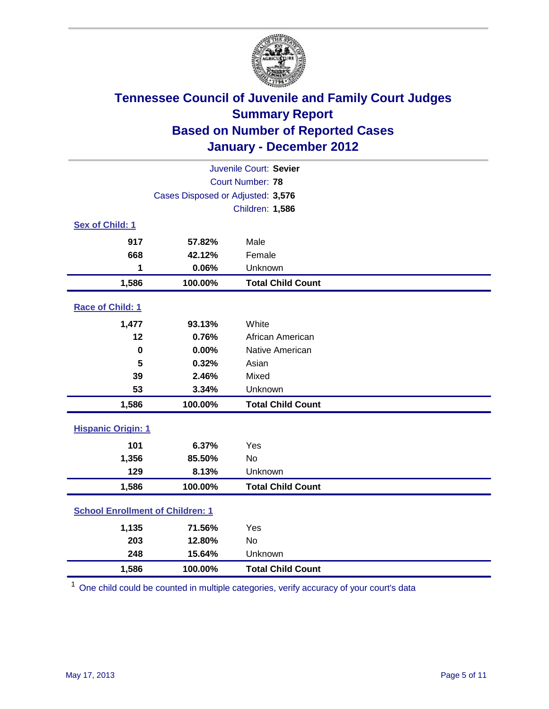

| Juvenile Court: Sevier                  |                                   |                          |  |  |
|-----------------------------------------|-----------------------------------|--------------------------|--|--|
| <b>Court Number: 78</b>                 |                                   |                          |  |  |
|                                         | Cases Disposed or Adjusted: 3,576 |                          |  |  |
|                                         |                                   | <b>Children: 1,586</b>   |  |  |
| Sex of Child: 1                         |                                   |                          |  |  |
| 917                                     | 57.82%                            | Male                     |  |  |
| 668                                     | 42.12%                            | Female                   |  |  |
| 1                                       | 0.06%                             | Unknown                  |  |  |
| 1,586                                   | 100.00%                           | <b>Total Child Count</b> |  |  |
| Race of Child: 1                        |                                   |                          |  |  |
| 1,477                                   | 93.13%                            | White                    |  |  |
| 12                                      | 0.76%                             | African American         |  |  |
| $\mathbf 0$                             | 0.00%                             | Native American          |  |  |
| 5                                       | 0.32%                             | Asian                    |  |  |
| 39                                      | 2.46%                             | Mixed                    |  |  |
| 53                                      | 3.34%                             | Unknown                  |  |  |
| 1,586                                   | 100.00%                           | <b>Total Child Count</b> |  |  |
| <b>Hispanic Origin: 1</b>               |                                   |                          |  |  |
| 101                                     | 6.37%                             | Yes                      |  |  |
| 1,356                                   | 85.50%                            | No                       |  |  |
| 129                                     | 8.13%                             | Unknown                  |  |  |
| 1,586                                   | 100.00%                           | <b>Total Child Count</b> |  |  |
| <b>School Enrollment of Children: 1</b> |                                   |                          |  |  |
| 1,135                                   | 71.56%                            | Yes                      |  |  |
| 203                                     | 12.80%                            | No                       |  |  |
| 248                                     | 15.64%                            | Unknown                  |  |  |
| 1,586                                   | 100.00%                           | <b>Total Child Count</b> |  |  |

<sup>1</sup> One child could be counted in multiple categories, verify accuracy of your court's data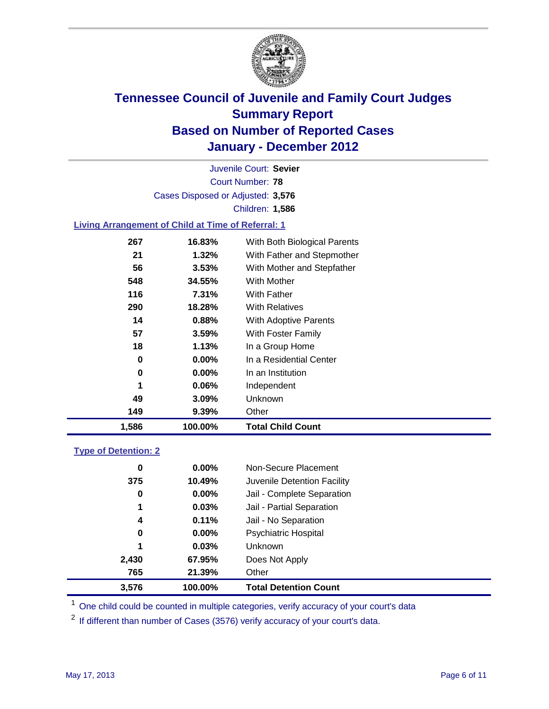

Court Number: **78** Juvenile Court: **Sevier** Cases Disposed or Adjusted: **3,576** Children: **1,586**

### **Living Arrangement of Child at Time of Referral: 1**

| 1,586 | 100.00%  | <b>Total Child Count</b>     |
|-------|----------|------------------------------|
| 149   | 9.39%    | Other                        |
| 49    | 3.09%    | <b>Unknown</b>               |
| 1     | $0.06\%$ | Independent                  |
| 0     | $0.00\%$ | In an Institution            |
| 0     | $0.00\%$ | In a Residential Center      |
| 18    | 1.13%    | In a Group Home              |
| 57    | 3.59%    | With Foster Family           |
| 14    | 0.88%    | With Adoptive Parents        |
| 290   | 18.28%   | <b>With Relatives</b>        |
| 116   | 7.31%    | With Father                  |
| 548   | 34.55%   | With Mother                  |
| 56    | 3.53%    | With Mother and Stepfather   |
| 21    | $1.32\%$ | With Father and Stepmother   |
| 267   | 16.83%   | With Both Biological Parents |
|       |          |                              |

#### **Type of Detention: 2**

| 3,576 | 100.00%  | <b>Total Detention Count</b> |  |
|-------|----------|------------------------------|--|
| 765   | 21.39%   | Other                        |  |
| 2,430 | 67.95%   | Does Not Apply               |  |
| 1     | 0.03%    | Unknown                      |  |
| 0     | $0.00\%$ | <b>Psychiatric Hospital</b>  |  |
| 4     | 0.11%    | Jail - No Separation         |  |
| 1     | 0.03%    | Jail - Partial Separation    |  |
| 0     | 0.00%    | Jail - Complete Separation   |  |
| 375   | 10.49%   | Juvenile Detention Facility  |  |
| 0     | $0.00\%$ | Non-Secure Placement         |  |
|       |          |                              |  |

<sup>1</sup> One child could be counted in multiple categories, verify accuracy of your court's data

<sup>2</sup> If different than number of Cases (3576) verify accuracy of your court's data.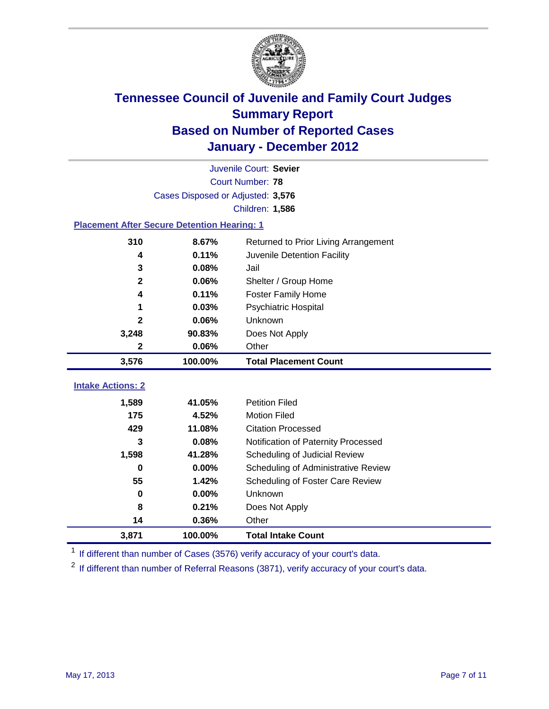

| Juvenile Court: Sevier                             |                                   |                                      |  |  |  |  |
|----------------------------------------------------|-----------------------------------|--------------------------------------|--|--|--|--|
|                                                    | Court Number: 78                  |                                      |  |  |  |  |
|                                                    | Cases Disposed or Adjusted: 3,576 |                                      |  |  |  |  |
|                                                    |                                   | Children: 1,586                      |  |  |  |  |
| <b>Placement After Secure Detention Hearing: 1</b> |                                   |                                      |  |  |  |  |
| 310                                                | 8.67%                             | Returned to Prior Living Arrangement |  |  |  |  |
| 4                                                  | 0.11%                             | Juvenile Detention Facility          |  |  |  |  |
| 3                                                  | 0.08%                             | Jail                                 |  |  |  |  |
| $\mathbf{2}$                                       | 0.06%                             | Shelter / Group Home                 |  |  |  |  |
| 4                                                  | 0.11%                             | <b>Foster Family Home</b>            |  |  |  |  |
| 1                                                  | 0.03%                             | Psychiatric Hospital                 |  |  |  |  |
| 2                                                  | 0.06%                             | Unknown                              |  |  |  |  |
| 3,248                                              | 90.83%                            | Does Not Apply                       |  |  |  |  |
| 2                                                  | 0.06%                             | Other                                |  |  |  |  |
| 3,576                                              | 100.00%                           | <b>Total Placement Count</b>         |  |  |  |  |
|                                                    |                                   |                                      |  |  |  |  |
| <b>Intake Actions: 2</b>                           |                                   |                                      |  |  |  |  |
| 1,589                                              | 41.05%                            | <b>Petition Filed</b>                |  |  |  |  |
| 175                                                | 4.52%                             | <b>Motion Filed</b>                  |  |  |  |  |
| 429                                                | 11.08%                            | <b>Citation Processed</b>            |  |  |  |  |
| 3                                                  | 0.08%                             | Notification of Paternity Processed  |  |  |  |  |
| 1,598                                              | 41.28%                            | Scheduling of Judicial Review        |  |  |  |  |
| $\bf{0}$                                           | 0.00%                             | Scheduling of Administrative Review  |  |  |  |  |
| 55                                                 | 1.42%                             | Scheduling of Foster Care Review     |  |  |  |  |
| $\bf{0}$                                           | 0.00%                             | Unknown                              |  |  |  |  |
| 8                                                  | 0.21%                             | Does Not Apply                       |  |  |  |  |
| 14                                                 | 0.36%                             | Other                                |  |  |  |  |
| 3,871                                              | 100.00%                           | <b>Total Intake Count</b>            |  |  |  |  |

<sup>1</sup> If different than number of Cases (3576) verify accuracy of your court's data.

<sup>2</sup> If different than number of Referral Reasons (3871), verify accuracy of your court's data.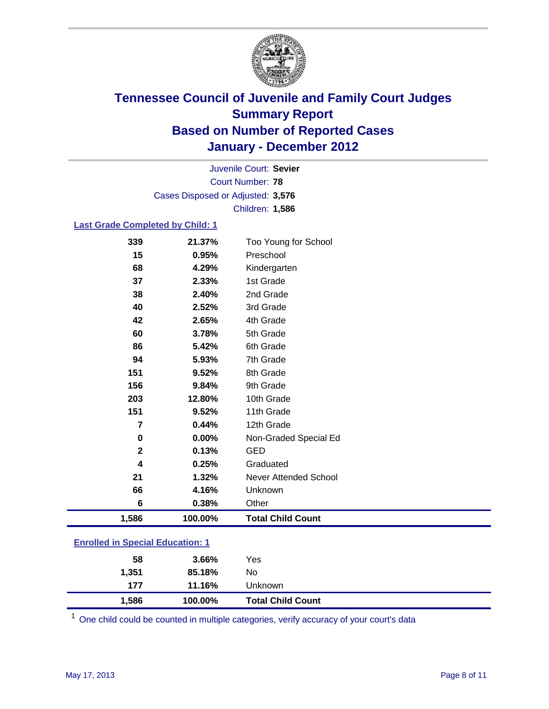

Court Number: **78** Juvenile Court: **Sevier** Cases Disposed or Adjusted: **3,576** Children: **1,586**

### **Last Grade Completed by Child: 1**

| 339                                     | 21.37%  | Too Young for School     |
|-----------------------------------------|---------|--------------------------|
| 15                                      | 0.95%   | Preschool                |
| 68                                      | 4.29%   | Kindergarten             |
| 37                                      | 2.33%   | 1st Grade                |
| 38                                      | 2.40%   | 2nd Grade                |
| 40                                      | 2.52%   | 3rd Grade                |
| 42                                      | 2.65%   | 4th Grade                |
| 60                                      | 3.78%   | 5th Grade                |
| 86                                      | 5.42%   | 6th Grade                |
| 94                                      | 5.93%   | 7th Grade                |
| 151                                     | 9.52%   | 8th Grade                |
| 156                                     | 9.84%   | 9th Grade                |
| 203                                     | 12.80%  | 10th Grade               |
| 151                                     | 9.52%   | 11th Grade               |
| 7                                       | 0.44%   | 12th Grade               |
| 0                                       | 0.00%   | Non-Graded Special Ed    |
| $\mathbf{2}$                            | 0.13%   | <b>GED</b>               |
| 4                                       | 0.25%   | Graduated                |
| 21                                      | 1.32%   | Never Attended School    |
| 66                                      | 4.16%   | Unknown                  |
| 6                                       | 0.38%   | Other                    |
| 1,586                                   | 100.00% | <b>Total Child Count</b> |
| <b>Enrolled in Special Education: 1</b> |         |                          |

| 1,586                                     | 100.00% | <b>Total Child Count</b> |  |
|-------------------------------------------|---------|--------------------------|--|
| 177                                       | 11.16%  | Unknown                  |  |
| 1,351                                     | 85.18%  | No                       |  |
| 58                                        | 3.66%   | Yes                      |  |
| <u>Einvilled in Opcolar Eugeneinen. I</u> |         |                          |  |

One child could be counted in multiple categories, verify accuracy of your court's data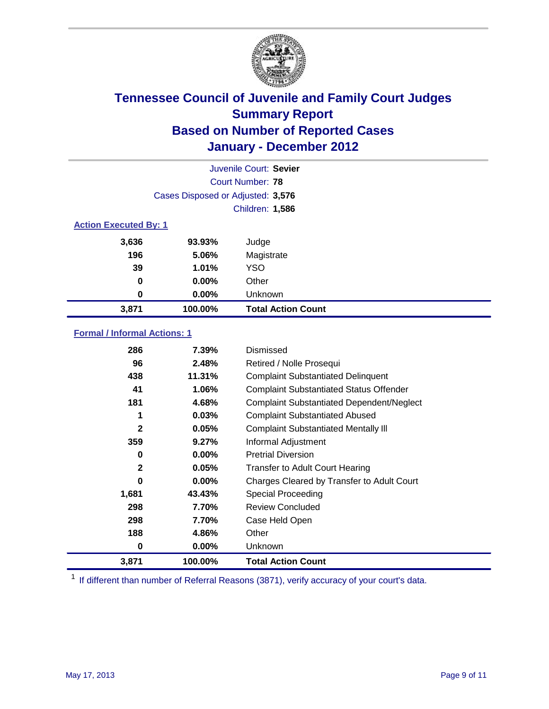

|       |                                   | Juvenile Court: Sevier    |  |  |  |
|-------|-----------------------------------|---------------------------|--|--|--|
|       |                                   | Court Number: 78          |  |  |  |
|       | Cases Disposed or Adjusted: 3,576 |                           |  |  |  |
|       |                                   | Children: 1,586           |  |  |  |
|       | <b>Action Executed By: 1</b>      |                           |  |  |  |
| 3,636 | 93.93%                            | Judge                     |  |  |  |
| 196   | 5.06%                             | Magistrate                |  |  |  |
| 39    | 1.01%                             | <b>YSO</b>                |  |  |  |
| 0     | 0.00%                             | Other                     |  |  |  |
| 0     | 0.00%                             | Unknown                   |  |  |  |
| 3,871 | 100.00%                           | <b>Total Action Count</b> |  |  |  |

### **Formal / Informal Actions: 1**

| 286          | 7.39%    | Dismissed                                        |
|--------------|----------|--------------------------------------------------|
| 96           | 2.48%    | Retired / Nolle Prosequi                         |
| 438          | 11.31%   | <b>Complaint Substantiated Delinquent</b>        |
| 41           | 1.06%    | <b>Complaint Substantiated Status Offender</b>   |
| 181          | 4.68%    | <b>Complaint Substantiated Dependent/Neglect</b> |
| 1            | 0.03%    | <b>Complaint Substantiated Abused</b>            |
| $\mathbf{2}$ | 0.05%    | <b>Complaint Substantiated Mentally III</b>      |
| 359          | 9.27%    | Informal Adjustment                              |
| 0            | $0.00\%$ | <b>Pretrial Diversion</b>                        |
| $\mathbf{2}$ | 0.05%    | <b>Transfer to Adult Court Hearing</b>           |
| 0            | $0.00\%$ | Charges Cleared by Transfer to Adult Court       |
| 1,681        | 43.43%   | Special Proceeding                               |
| 298          | 7.70%    | <b>Review Concluded</b>                          |
| 298          | 7.70%    | Case Held Open                                   |
| 188          | 4.86%    | Other                                            |
| 0            | $0.00\%$ | <b>Unknown</b>                                   |
| 3,871        | 100.00%  | <b>Total Action Count</b>                        |

<sup>1</sup> If different than number of Referral Reasons (3871), verify accuracy of your court's data.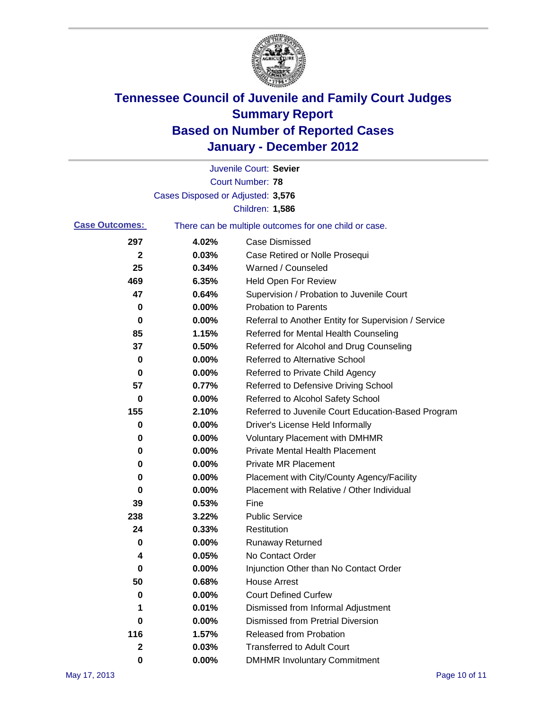

|                       |                                   | Juvenile Court: Sevier                                |
|-----------------------|-----------------------------------|-------------------------------------------------------|
|                       |                                   | Court Number: 78                                      |
|                       | Cases Disposed or Adjusted: 3,576 |                                                       |
|                       |                                   | Children: 1,586                                       |
| <b>Case Outcomes:</b> |                                   | There can be multiple outcomes for one child or case. |
| 297                   | 4.02%                             | <b>Case Dismissed</b>                                 |
| $\mathbf{2}$          | 0.03%                             | Case Retired or Nolle Prosequi                        |
| 25                    | 0.34%                             | Warned / Counseled                                    |
| 469                   | 6.35%                             | Held Open For Review                                  |
| 47                    | 0.64%                             | Supervision / Probation to Juvenile Court             |
| 0                     | 0.00%                             | <b>Probation to Parents</b>                           |
| 0                     | 0.00%                             | Referral to Another Entity for Supervision / Service  |
| 85                    | 1.15%                             | Referred for Mental Health Counseling                 |
| 37                    | 0.50%                             | Referred for Alcohol and Drug Counseling              |
| 0                     | 0.00%                             | <b>Referred to Alternative School</b>                 |
| 0                     | 0.00%                             | Referred to Private Child Agency                      |
| 57                    | 0.77%                             | Referred to Defensive Driving School                  |
| 0                     | 0.00%                             | Referred to Alcohol Safety School                     |
| 155                   | 2.10%                             | Referred to Juvenile Court Education-Based Program    |
| 0                     | 0.00%                             | Driver's License Held Informally                      |
| 0                     | 0.00%                             | <b>Voluntary Placement with DMHMR</b>                 |
| 0                     | 0.00%                             | <b>Private Mental Health Placement</b>                |
| 0                     | 0.00%                             | <b>Private MR Placement</b>                           |
| 0                     | 0.00%                             | Placement with City/County Agency/Facility            |
| 0                     | 0.00%                             | Placement with Relative / Other Individual            |
| 39                    | 0.53%                             | Fine                                                  |
| 238                   | 3.22%                             | <b>Public Service</b>                                 |
| 24                    | 0.33%                             | Restitution                                           |
| 0                     | 0.00%                             | <b>Runaway Returned</b>                               |
| 4                     | 0.05%                             | No Contact Order                                      |
| 0                     | $0.00\%$                          | Injunction Other than No Contact Order                |
| 50                    | 0.68%                             | <b>House Arrest</b>                                   |
| 0                     | 0.00%                             | <b>Court Defined Curfew</b>                           |
| 1                     | 0.01%                             | Dismissed from Informal Adjustment                    |
| 0                     | 0.00%                             | <b>Dismissed from Pretrial Diversion</b>              |
| 116                   | 1.57%                             | Released from Probation                               |
| $\mathbf{2}$          | 0.03%                             | <b>Transferred to Adult Court</b>                     |
| 0                     | $0.00\%$                          | <b>DMHMR Involuntary Commitment</b>                   |